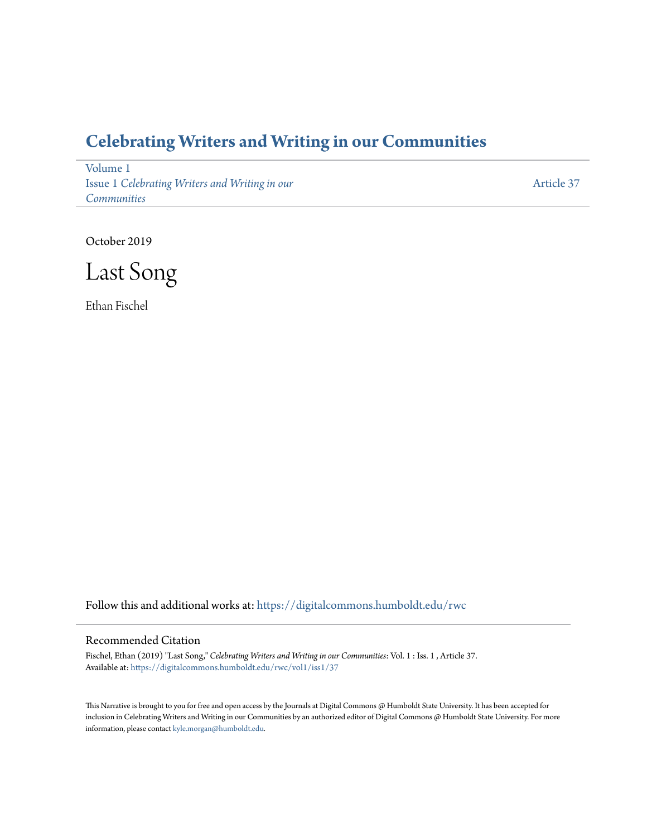## **[Celebrating Writers and Writing in our Communities](https://digitalcommons.humboldt.edu/rwc?utm_source=digitalcommons.humboldt.edu%2Frwc%2Fvol1%2Fiss1%2F37&utm_medium=PDF&utm_campaign=PDFCoverPages)**

[Volume 1](https://digitalcommons.humboldt.edu/rwc/vol1?utm_source=digitalcommons.humboldt.edu%2Frwc%2Fvol1%2Fiss1%2F37&utm_medium=PDF&utm_campaign=PDFCoverPages) Issue 1 *[Celebrating Writers and Writing in our](https://digitalcommons.humboldt.edu/rwc/vol1/iss1?utm_source=digitalcommons.humboldt.edu%2Frwc%2Fvol1%2Fiss1%2F37&utm_medium=PDF&utm_campaign=PDFCoverPages) [Communities](https://digitalcommons.humboldt.edu/rwc/vol1/iss1?utm_source=digitalcommons.humboldt.edu%2Frwc%2Fvol1%2Fiss1%2F37&utm_medium=PDF&utm_campaign=PDFCoverPages)*

[Article 37](https://digitalcommons.humboldt.edu/rwc/vol1/iss1/37?utm_source=digitalcommons.humboldt.edu%2Frwc%2Fvol1%2Fiss1%2F37&utm_medium=PDF&utm_campaign=PDFCoverPages)

October 2019

Last Song

Ethan Fischel

Follow this and additional works at: [https://digitalcommons.humboldt.edu/rwc](https://digitalcommons.humboldt.edu/rwc?utm_source=digitalcommons.humboldt.edu%2Frwc%2Fvol1%2Fiss1%2F37&utm_medium=PDF&utm_campaign=PDFCoverPages)

## Recommended Citation

Fischel, Ethan (2019) "Last Song," *Celebrating Writers and Writing in our Communities*: Vol. 1 : Iss. 1 , Article 37. Available at: [https://digitalcommons.humboldt.edu/rwc/vol1/iss1/37](https://digitalcommons.humboldt.edu/rwc/vol1/iss1/37?utm_source=digitalcommons.humboldt.edu%2Frwc%2Fvol1%2Fiss1%2F37&utm_medium=PDF&utm_campaign=PDFCoverPages)

This Narrative is brought to you for free and open access by the Journals at Digital Commons @ Humboldt State University. It has been accepted for inclusion in Celebrating Writers and Writing in our Communities by an authorized editor of Digital Commons @ Humboldt State University. For more information, please contact [kyle.morgan@humboldt.edu.](mailto:kyle.morgan@humboldt.edu)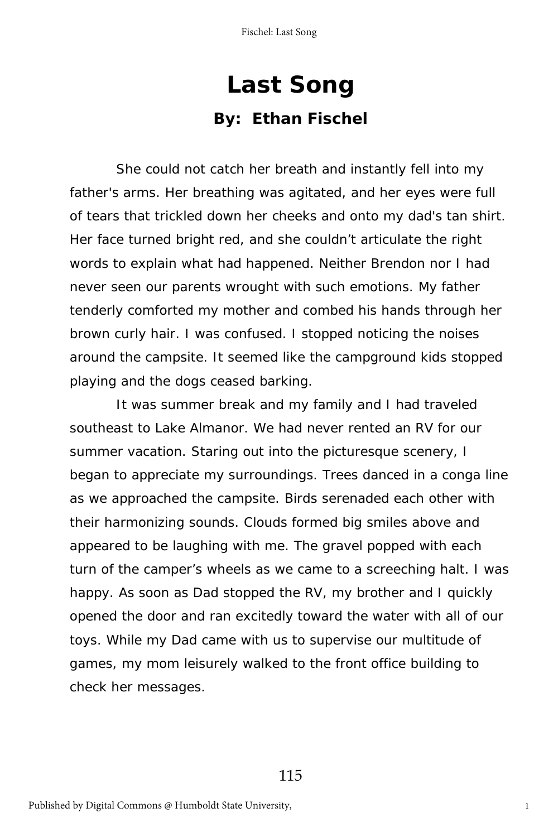## **Last Song By: Ethan Fischel**

She could not catch her breath and instantly fell into my father's arms. Her breathing was agitated, and her eyes were full of tears that trickled down her cheeks and onto my dad's tan shirt. Her face turned bright red, and she couldn't articulate the right words to explain what had happened. Neither Brendon nor I had never seen our parents wrought with such emotions. My father tenderly comforted my mother and combed his hands through her brown curly hair. I was confused. I stopped noticing the noises around the campsite. It seemed like the campground kids stopped playing and the dogs ceased barking.

It was summer break and my family and I had traveled southeast to Lake Almanor. We had never rented an RV for our summer vacation. Staring out into the picturesque scenery, I began to appreciate my surroundings. Trees danced in a conga line as we approached the campsite. Birds serenaded each other with their harmonizing sounds. Clouds formed big smiles above and appeared to be laughing with me. The gravel popped with each turn of the camper's wheels as we came to a screeching halt. I was happy. As soon as Dad stopped the RV, my brother and I quickly opened the door and ran excitedly toward the water with all of our toys. While my Dad came with us to supervise our multitude of games, my mom leisurely walked to the front office building to check her messages.

115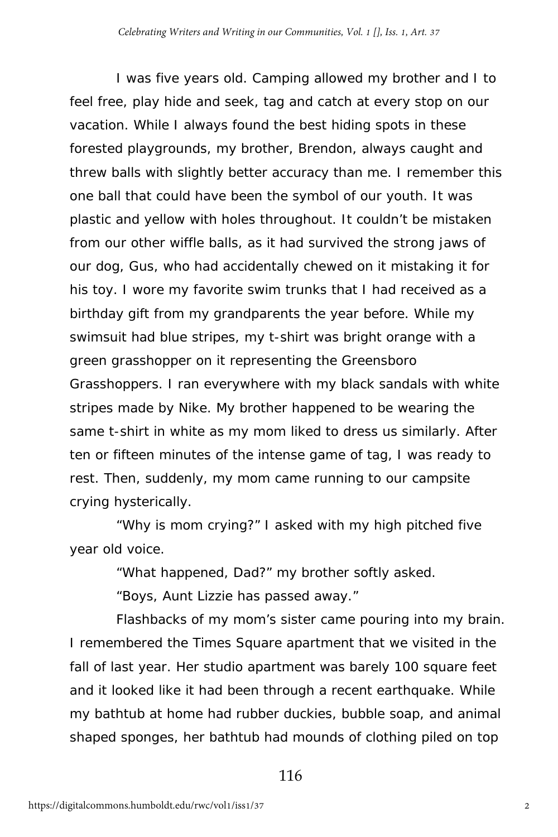I was five years old. Camping allowed my brother and I to feel free, play hide and seek, tag and catch at every stop on our vacation. While I always found the best hiding spots in these forested playgrounds, my brother, Brendon, always caught and threw balls with slightly better accuracy than me. I remember this one ball that could have been the symbol of our youth. It was plastic and yellow with holes throughout. It couldn't be mistaken from our other wiffle balls, as it had survived the strong jaws of our dog, Gus, who had accidentally chewed on it mistaking it for his toy. I wore my favorite swim trunks that I had received as a birthday gift from my grandparents the year before. While my swimsuit had blue stripes, my t-shirt was bright orange with a green grasshopper on it representing the Greensboro Grasshoppers. I ran everywhere with my black sandals with white stripes made by Nike. My brother happened to be wearing the same t-shirt in white as my mom liked to dress us similarly. After ten or fifteen minutes of the intense game of tag, I was ready to rest. Then, suddenly, my mom came running to our campsite crying hysterically.

"Why is mom crying?" I asked with my high pitched five year old voice.

"What happened, Dad?" my brother softly asked.

"Boys, Aunt Lizzie has passed away."

Flashbacks of my mom's sister came pouring into my brain. I remembered the Times Square apartment that we visited in the fall of last year. Her studio apartment was barely 100 square feet and it looked like it had been through a recent earthquake. While my bathtub at home had rubber duckies, bubble soap, and animal shaped sponges, her bathtub had mounds of clothing piled on top

116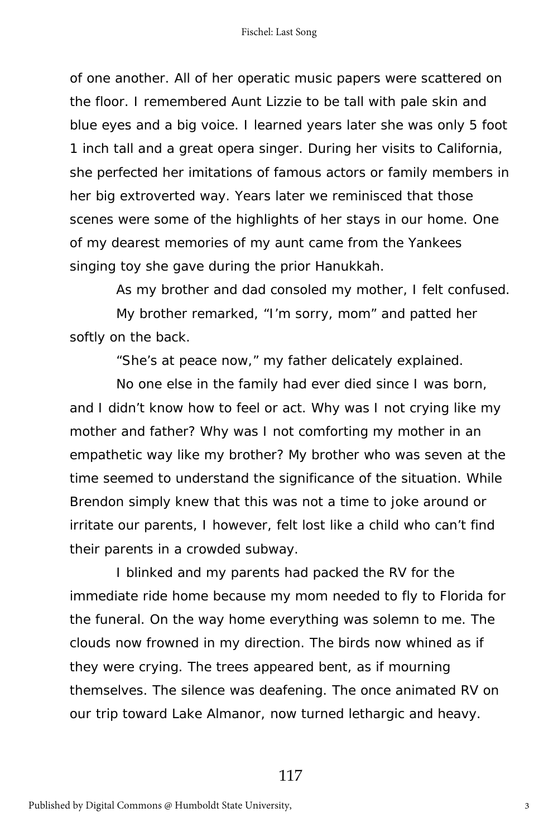of one another. All of her operatic music papers were scattered on the floor. I remembered Aunt Lizzie to be tall with pale skin and blue eyes and a big voice. I learned years later she was only 5 foot 1 inch tall and a great opera singer. During her visits to California, she perfected her imitations of famous actors or family members in her big extroverted way. Years later we reminisced that those scenes were some of the highlights of her stays in our home. One of my dearest memories of my aunt came from the Yankees singing toy she gave during the prior Hanukkah.

As my brother and dad consoled my mother, I felt confused.

My brother remarked, "I'm sorry, mom" and patted her softly on the back.

"She's at peace now," my father delicately explained.

No one else in the family had ever died since I was born, and I didn't know how to feel or act. Why was I not crying like my mother and father? Why was I not comforting my mother in an empathetic way like my brother? My brother who was seven at the time seemed to understand the significance of the situation. While Brendon simply knew that this was not a time to joke around or irritate our parents, I however, felt lost like a child who can't find their parents in a crowded subway.

I blinked and my parents had packed the RV for the immediate ride home because my mom needed to fly to Florida for the funeral. On the way home everything was solemn to me. The clouds now frowned in my direction. The birds now whined as if they were crying. The trees appeared bent, as if mourning themselves. The silence was deafening. The once animated RV on our trip toward Lake Almanor, now turned lethargic and heavy.

117